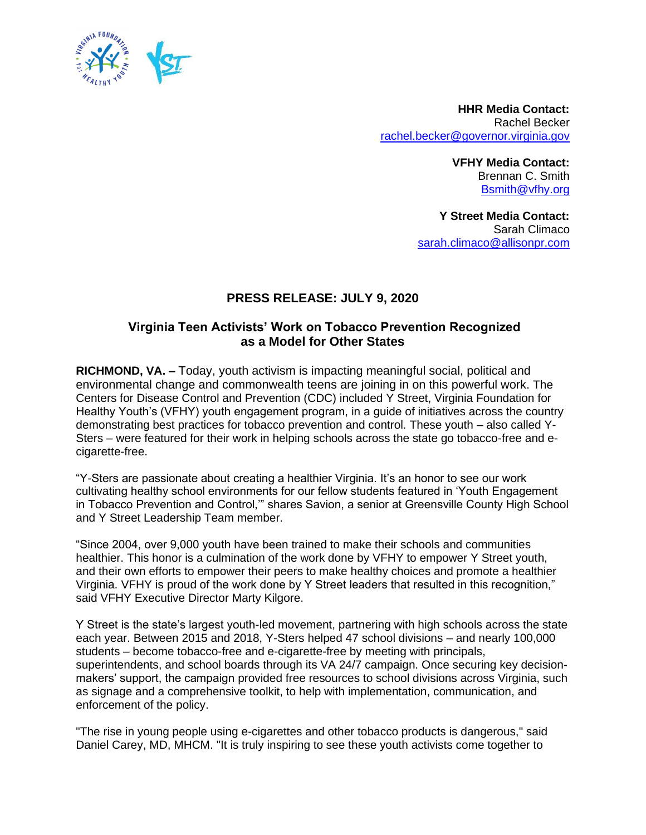

**HHR Media Contact:**  Rachel Becker [rachel.becker@governor.virginia.gov](mailto:rachel.becker@governor.virginia.gov)

> **VFHY Media Contact:**  Brennan C. Smith [Bsmith@vfhy.org](mailto:Bsmith@vfhy.org)

**Y Street Media Contact:**  Sarah Climaco [sarah.climaco@allisonpr.com](mailto:sarah.climaco@allisonpr.com)

## **PRESS RELEASE: JULY 9, 2020**

## **Virginia Teen Activists' Work on Tobacco Prevention Recognized as a Model for Other States**

**RICHMOND, VA. –** Today, youth activism is impacting meaningful social, political and environmental change and commonwealth teens are joining in on this powerful work. The Centers for Disease Control and Prevention (CDC) included Y Street, Virginia Foundation for Healthy Youth's (VFHY) youth engagement program, in a guide of initiatives across the country demonstrating best practices for tobacco prevention and control. These youth – also called Y-Sters – were featured for their work in helping schools across the state go tobacco-free and ecigarette-free.

"Y-Sters are passionate about creating a healthier Virginia. It's an honor to see our work cultivating healthy school environments for our fellow students featured in 'Youth Engagement in Tobacco Prevention and Control,'" shares Savion, a senior at Greensville County High School and Y Street Leadership Team member.

"Since 2004, over 9,000 youth have been trained to make their schools and communities healthier. This honor is a culmination of the work done by VFHY to empower Y Street youth, and their own efforts to empower their peers to make healthy choices and promote a healthier Virginia. VFHY is proud of the work done by Y Street leaders that resulted in this recognition," said VFHY Executive Director Marty Kilgore.

Y Street is the state's largest youth-led movement, partnering with high schools across the state each year. Between 2015 and 2018, Y-Sters helped 47 school divisions – and nearly 100,000 students – become tobacco-free and e-cigarette-free by meeting with principals, superintendents, and school boards through its VA 24/7 campaign. Once securing key decisionmakers' support, the campaign provided free resources to school divisions across Virginia, such as signage and a comprehensive toolkit, to help with implementation, communication, and enforcement of the policy.

"The rise in young people using e-cigarettes and other tobacco products is dangerous," said Daniel Carey, MD, MHCM. "It is truly inspiring to see these youth activists come together to